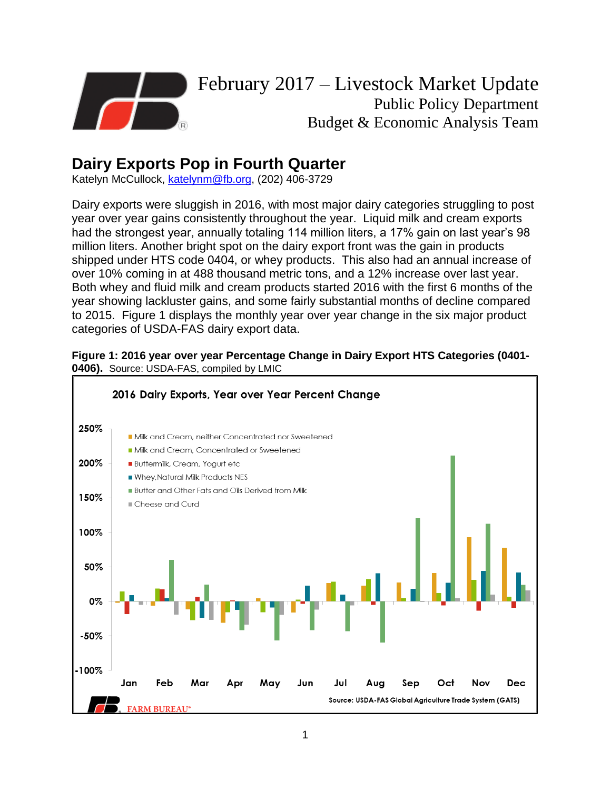

## **Dairy Exports Pop in Fourth Quarter**

Katelyn McCullock, [katelynm@fb.org,](mailto:katelynm@fb.org) (202) 406-3729

Dairy exports were sluggish in 2016, with most major dairy categories struggling to post year over year gains consistently throughout the year. Liquid milk and cream exports had the strongest year, annually totaling 114 million liters, a 17% gain on last year's 98 million liters. Another bright spot on the dairy export front was the gain in products shipped under HTS code 0404, or whey products. This also had an annual increase of over 10% coming in at 488 thousand metric tons, and a 12% increase over last year. Both whey and fluid milk and cream products started 2016 with the first 6 months of the year showing lackluster gains, and some fairly substantial months of decline compared to 2015. Figure 1 displays the monthly year over year change in the six major product categories of USDA-FAS dairy export data.



## **Figure 1: 2016 year over year Percentage Change in Dairy Export HTS Categories (0401- 0406).** Source: USDA-FAS, compiled by LMIC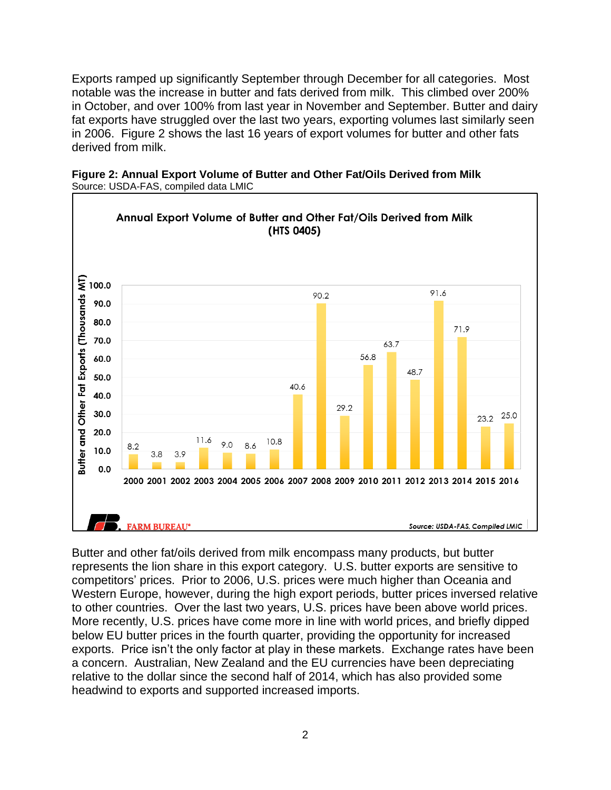Exports ramped up significantly September through December for all categories. Most notable was the increase in butter and fats derived from milk. This climbed over 200% in October, and over 100% from last year in November and September. Butter and dairy fat exports have struggled over the last two years, exporting volumes last similarly seen in 2006. Figure 2 shows the last 16 years of export volumes for butter and other fats derived from milk.



**Figure 2: Annual Export Volume of Butter and Other Fat/Oils Derived from Milk** Source: USDA-FAS, compiled data LMIC

Butter and other fat/oils derived from milk encompass many products, but butter represents the lion share in this export category. U.S. butter exports are sensitive to competitors' prices. Prior to 2006, U.S. prices were much higher than Oceania and Western Europe, however, during the high export periods, butter prices inversed relative to other countries. Over the last two years, U.S. prices have been above world prices. More recently, U.S. prices have come more in line with world prices, and briefly dipped below EU butter prices in the fourth quarter, providing the opportunity for increased exports. Price isn't the only factor at play in these markets. Exchange rates have been a concern. Australian, New Zealand and the EU currencies have been depreciating relative to the dollar since the second half of 2014, which has also provided some headwind to exports and supported increased imports.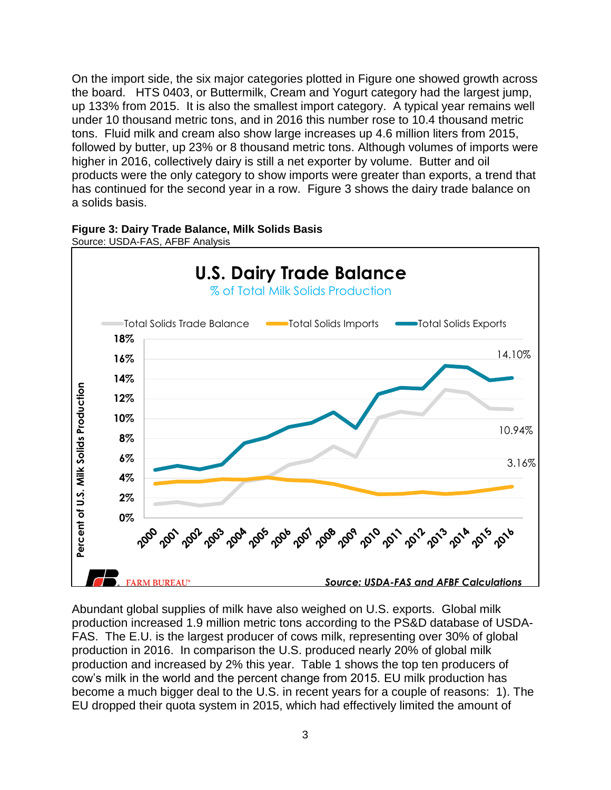On the import side, the six major categories plotted in Figure one showed growth across the board. HTS 0403, or Buttermilk, Cream and Yogurt category had the largest jump, up 133% from 2015. It is also the smallest import category. A typical year remains well under 10 thousand metric tons, and in 2016 this number rose to 10.4 thousand metric tons. Fluid milk and cream also show large increases up 4.6 million liters from 2015, followed by butter, up 23% or 8 thousand metric tons. Although volumes of imports were higher in 2016, collectively dairy is still a net exporter by volume. Butter and oil products were the only category to show imports were greater than exports, a trend that has continued for the second year in a row. Figure 3 shows the dairy trade balance on a solids basis.





Abundant global supplies of milk have also weighed on U.S. exports. Global milk production increased 1.9 million metric tons according to the PS&D database of USDA-FAS. The E.U. is the largest producer of cows milk, representing over 30% of global production in 2016. In comparison the U.S. produced nearly 20% of global milk production and increased by 2% this year. Table 1 shows the top ten producers of cow's milk in the world and the percent change from 2015. EU milk production has become a much bigger deal to the U.S. in recent years for a couple of reasons: 1). The EU dropped their quota system in 2015, which had effectively limited the amount of